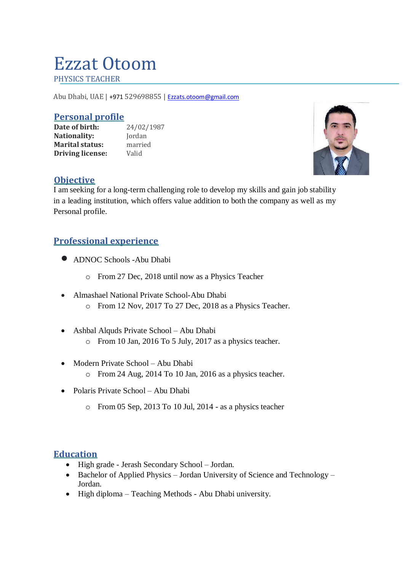# Ezzat Otoom

PHYSICS TEACHER

Abu Dhabi, UAE | +971 529698855 | [Ezzats.otoom@gmail.com](mailto:Ezzats.otoom@gmail.com)

#### **Personal profile**

**Date of birth:** 24/02/1987 Nationality: **Jordan Marital status:** married **Driving license:** Valid



#### **Objective**

I am seeking for a long-term challenging role to develop my skills and gain job stability in a leading institution, which offers value addition to both the company as well as my Personal profile.

# **Professional experience**

- ADNOC Schools -Abu Dhabi
	- o From 27 Dec, 2018 until now as a Physics Teacher
- Almashael National Private School-Abu Dhabi o From 12 Nov, 2017 To 27 Dec, 2018 as a Physics Teacher.
- Ashbal Alquds Private School Abu Dhabi o From 10 Jan, 2016 To 5 July, 2017 as a physics teacher.
- Modern Private School Abu Dhabi
	- o From 24 Aug, 2014 To 10 Jan, 2016 as a physics teacher.
- Polaris Private School Abu Dhabi
	- o From 05 Sep, 2013 To 10 Jul, 2014 as a physics teacher

## **Education**

- High grade Jerash Secondary School Jordan.
- Bachelor of Applied Physics Jordan University of Science and Technology Jordan.
- High diploma Teaching Methods Abu Dhabi university.